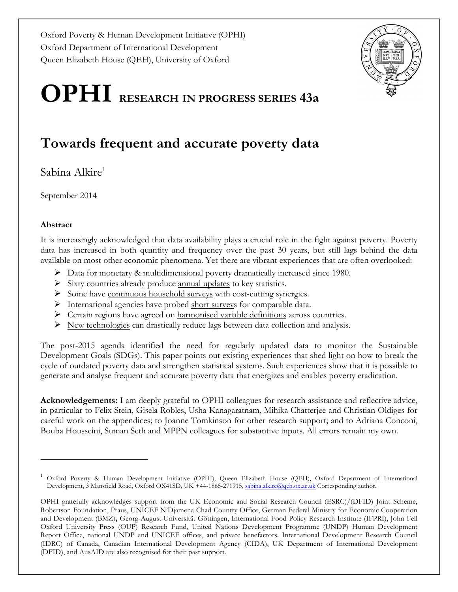Oxford Poverty & Human Development Initiative (OPHI) Oxford Department of International Development Queen Elizabeth House (QEH), University of Oxford



# **OPHI RESEARCH IN PROGRESS SERIES 43a**

## **Towards frequent and accurate poverty data**

Sabina Alkire<sup>1</sup>

September 2014

#### **Abstract**

1

It is increasingly acknowledged that data availability plays a crucial role in the fight against poverty. Poverty data has increased in both quantity and frequency over the past 30 years, but still lags behind the data available on most other economic phenomena. Yet there are vibrant experiences that are often overlooked:

- $\triangleright$  Data for monetary & multidimensional poverty dramatically increased since 1980.
- $\triangleright$  Sixty countries already produce annual updates to key statistics.
- Ø Some have continuous household surveys with cost-cutting synergies.
- $\triangleright$  International agencies have probed short surveys for comparable data.
- $\triangleright$  Certain regions have agreed on harmonised variable definitions across countries.
- $\triangleright$  New technologies can drastically reduce lags between data collection and analysis.

The post-2015 agenda identified the need for regularly updated data to monitor the Sustainable Development Goals (SDGs). This paper points out existing experiences that shed light on how to break the cycle of outdated poverty data and strengthen statistical systems. Such experiences show that it is possible to generate and analyse frequent and accurate poverty data that energizes and enables poverty eradication.

**Acknowledgements:** I am deeply grateful to OPHI colleagues for research assistance and reflective advice, in particular to Felix Stein, Gisela Robles, Usha Kanagaratnam, Mihika Chatterjee and Christian Oldiges for careful work on the appendices; to Joanne Tomkinson for other research support; and to Adriana Conconi, Bouba Housseini, Suman Seth and MPPN colleagues for substantive inputs. All errors remain my own.

<sup>1</sup> Oxford Poverty & Human Development Initiative (OPHI), Queen Elizabeth House (QEH), Oxford Department of International Development, 3 Mansfield Road, Oxford OX41SD, UK +44-1865-271915, sabina.alkire@qeh.ox.ac.uk Corresponding author.

OPHI gratefully acknowledges support from the UK Economic and Social Research Council (ESRC)/(DFID) Joint Scheme, Robertson Foundation, Praus, UNICEF N'Djamena Chad Country Office, German Federal Ministry for Economic Cooperation and Development (BMZ)**,** Georg-August-Universität Göttingen, International Food Policy Research Institute (IFPRI), John Fell Oxford University Press (OUP) Research Fund, United Nations Development Programme (UNDP) Human Development Report Office, national UNDP and UNICEF offices, and private benefactors. International Development Research Council (IDRC) of Canada, Canadian International Development Agency (CIDA), UK Department of International Development (DFID), and AusAID are also recognised for their past support.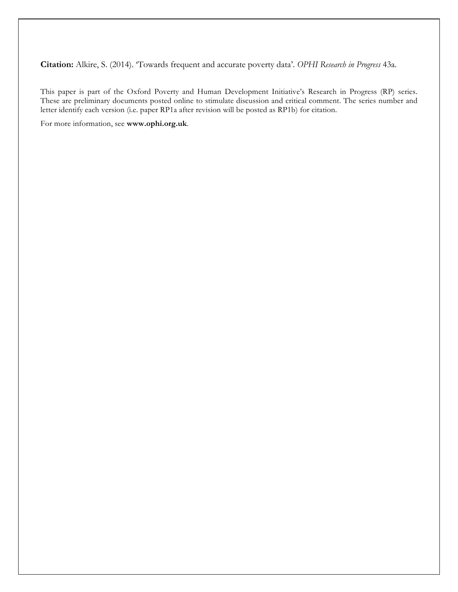**Citation:** Alkire, S. (2014). 'Towards frequent and accurate poverty data'. *OPHI Research in Progress* 43a.

This paper is part of the Oxford Poverty and Human Development Initiative's Research in Progress (RP) series. These are preliminary documents posted online to stimulate discussion and critical comment. The series number and letter identify each version (i.e. paper RP1a after revision will be posted as RP1b) for citation.

For more information, see **www.ophi.org.uk**.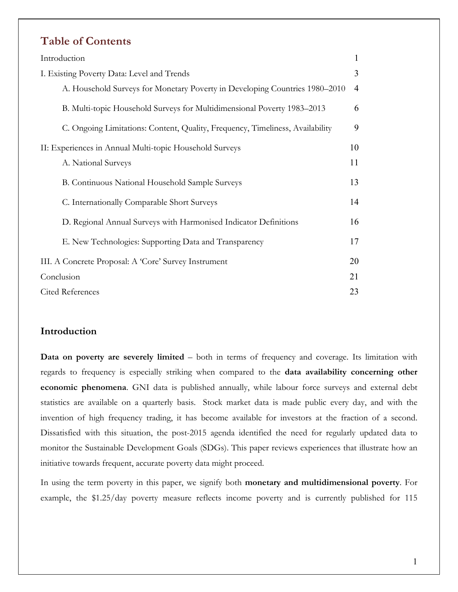### **Table of Contents**

| Introduction                                                                  | $\mathbf{1}$   |
|-------------------------------------------------------------------------------|----------------|
| I. Existing Poverty Data: Level and Trends                                    | 3              |
| A. Household Surveys for Monetary Poverty in Developing Countries 1980–2010   | $\overline{4}$ |
| B. Multi-topic Household Surveys for Multidimensional Poverty 1983–2013       | 6              |
| C. Ongoing Limitations: Content, Quality, Frequency, Timeliness, Availability | 9              |
| II: Experiences in Annual Multi-topic Household Surveys                       | 10             |
| A. National Surveys                                                           | 11             |
| B. Continuous National Household Sample Surveys                               | 13             |
| C. Internationally Comparable Short Surveys                                   | 14             |
| D. Regional Annual Surveys with Harmonised Indicator Definitions              | 16             |
| E. New Technologies: Supporting Data and Transparency                         | 17             |
| III. A Concrete Proposal: A 'Core' Survey Instrument                          | 20             |
| Conclusion                                                                    | 21             |
| <b>Cited References</b>                                                       | 23             |

#### **Introduction**

**Data on poverty are severely limited** – both in terms of frequency and coverage. Its limitation with regards to frequency is especially striking when compared to the **data availability concerning other economic phenomena**. GNI data is published annually, while labour force surveys and external debt statistics are available on a quarterly basis. Stock market data is made public every day, and with the invention of high frequency trading, it has become available for investors at the fraction of a second. Dissatisfied with this situation, the post-2015 agenda identified the need for regularly updated data to monitor the Sustainable Development Goals (SDGs). This paper reviews experiences that illustrate how an initiative towards frequent, accurate poverty data might proceed.

In using the term poverty in this paper, we signify both **monetary and multidimensional poverty**. For example, the \$1.25/day poverty measure reflects income poverty and is currently published for 115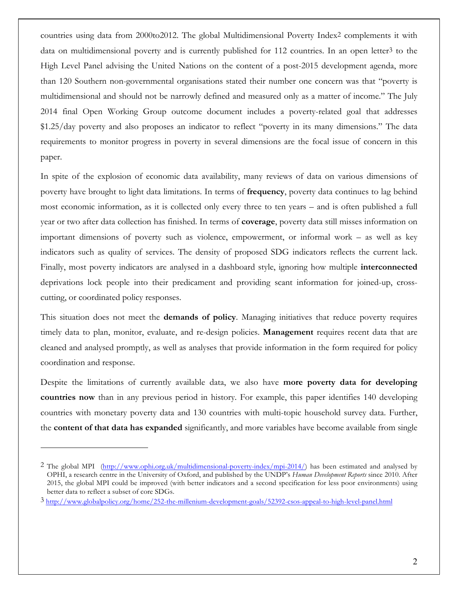countries using data from 2000to2012. The global Multidimensional Poverty Index2 complements it with data on multidimensional poverty and is currently published for  $112$  countries. In an open letter<sup>3</sup> to the High Level Panel advising the United Nations on the content of a post-2015 development agenda, more than 120 Southern non-governmental organisations stated their number one concern was that "poverty is multidimensional and should not be narrowly defined and measured only as a matter of income." The July 2014 final Open Working Group outcome document includes a poverty-related goal that addresses \$1.25/day poverty and also proposes an indicator to reflect "poverty in its many dimensions." The data requirements to monitor progress in poverty in several dimensions are the focal issue of concern in this paper.

In spite of the explosion of economic data availability, many reviews of data on various dimensions of poverty have brought to light data limitations. In terms of **frequency**, poverty data continues to lag behind most economic information, as it is collected only every three to ten years – and is often published a full year or two after data collection has finished. In terms of **coverage**, poverty data still misses information on important dimensions of poverty such as violence, empowerment, or informal work – as well as key indicators such as quality of services. The density of proposed SDG indicators reflects the current lack. Finally, most poverty indicators are analysed in a dashboard style, ignoring how multiple **interconnected** deprivations lock people into their predicament and providing scant information for joined-up, crosscutting, or coordinated policy responses.

This situation does not meet the **demands of policy**. Managing initiatives that reduce poverty requires timely data to plan, monitor, evaluate, and re-design policies. **Management** requires recent data that are cleaned and analysed promptly, as well as analyses that provide information in the form required for policy coordination and response.

Despite the limitations of currently available data, we also have **more poverty data for developing countries now** than in any previous period in history. For example, this paper identifies 140 developing countries with monetary poverty data and 130 countries with multi-topic household survey data. Further, the **content of that data has expanded** significantly, and more variables have become available from single

<sup>2</sup> The global MPI (http://www.ophi.org.uk/multidimensional-poverty-index/mpi-2014/) has been estimated and analysed by OPHI, a research centre in the University of Oxford, and published by the UNDP's *Human Development Reports* since 2010. After 2015, the global MPI could be improved (with better indicators and a second specification for less poor environments) using better data to reflect a subset of core SDGs.

<sup>3</sup> http://www.globalpolicy.org/home/252-the-millenium-development-goals/52392-csos-appeal-to-high-level-panel.html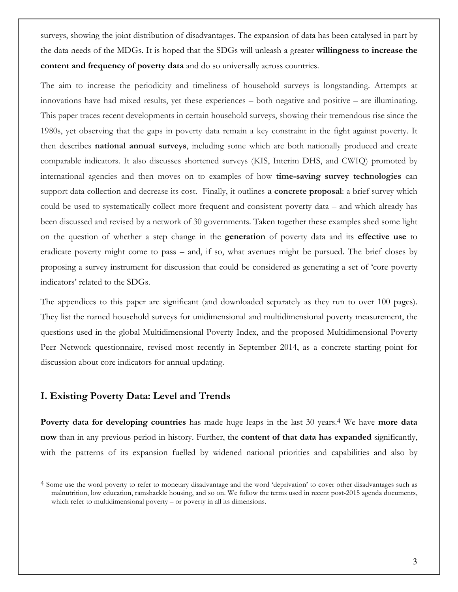surveys, showing the joint distribution of disadvantages. The expansion of data has been catalysed in part by the data needs of the MDGs. It is hoped that the SDGs will unleash a greater **willingness to increase the content and frequency of poverty data** and do so universally across countries.

The aim to increase the periodicity and timeliness of household surveys is longstanding. Attempts at innovations have had mixed results, yet these experiences – both negative and positive – are illuminating. This paper traces recent developments in certain household surveys, showing their tremendous rise since the 1980s, yet observing that the gaps in poverty data remain a key constraint in the fight against poverty. It then describes **national annual surveys**, including some which are both nationally produced and create comparable indicators. It also discusses shortened surveys (KIS, Interim DHS, and CWIQ) promoted by international agencies and then moves on to examples of how **time-saving survey technologies** can support data collection and decrease its cost. Finally, it outlines **a concrete proposal**: a brief survey which could be used to systematically collect more frequent and consistent poverty data – and which already has been discussed and revised by a network of 30 governments. Taken together these examples shed some light on the question of whether a step change in the **generation** of poverty data and its **effective use** to eradicate poverty might come to pass – and, if so, what avenues might be pursued. The brief closes by proposing a survey instrument for discussion that could be considered as generating a set of 'core poverty indicators' related to the SDGs.

The appendices to this paper are significant (and downloaded separately as they run to over 100 pages). They list the named household surveys for unidimensional and multidimensional poverty measurement, the questions used in the global Multidimensional Poverty Index, and the proposed Multidimensional Poverty Peer Network questionnaire, revised most recently in September 2014, as a concrete starting point for discussion about core indicators for annual updating.

#### **I. Existing Poverty Data: Level and Trends**

1

**Poverty data for developing countries** has made huge leaps in the last 30 years.4 We have **more data now** than in any previous period in history. Further, the **content of that data has expanded** significantly, with the patterns of its expansion fuelled by widened national priorities and capabilities and also by

<sup>4</sup> Some use the word poverty to refer to monetary disadvantage and the word 'deprivation' to cover other disadvantages such as malnutrition, low education, ramshackle housing, and so on. We follow the terms used in recent post-2015 agenda documents, which refer to multidimensional poverty – or poverty in all its dimensions.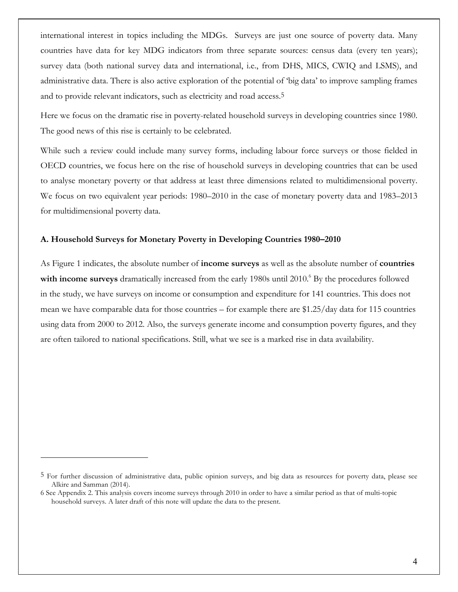international interest in topics including the MDGs. Surveys are just one source of poverty data. Many countries have data for key MDG indicators from three separate sources: census data (every ten years); survey data (both national survey data and international, i.e., from DHS, MICS, CWIQ and LSMS), and administrative data. There is also active exploration of the potential of 'big data' to improve sampling frames and to provide relevant indicators, such as electricity and road access.5

Here we focus on the dramatic rise in poverty-related household surveys in developing countries since 1980. The good news of this rise is certainly to be celebrated.

While such a review could include many survey forms, including labour force surveys or those fielded in OECD countries, we focus here on the rise of household surveys in developing countries that can be used to analyse monetary poverty or that address at least three dimensions related to multidimensional poverty. We focus on two equivalent year periods: 1980–2010 in the case of monetary poverty data and 1983–2013 for multidimensional poverty data.

#### **A. Household Surveys for Monetary Poverty in Developing Countries 1980–2010**

As Figure 1 indicates, the absolute number of **income surveys** as well as the absolute number of **countries** with income surveys dramatically increased from the early 1980s until 2010.<sup>6</sup> By the procedures followed in the study, we have surveys on income or consumption and expenditure for 141 countries. This does not mean we have comparable data for those countries – for example there are \$1.25/day data for 115 countries using data from 2000 to 2012. Also, the surveys generate income and consumption poverty figures, and they are often tailored to national specifications. Still, what we see is a marked rise in data availability.

<sup>5</sup> For further discussion of administrative data, public opinion surveys, and big data as resources for poverty data, please see Alkire and Samman (2014).

<sup>6</sup> See Appendix 2. This analysis covers income surveys through 2010 in order to have a similar period as that of multi-topic household surveys. A later draft of this note will update the data to the present.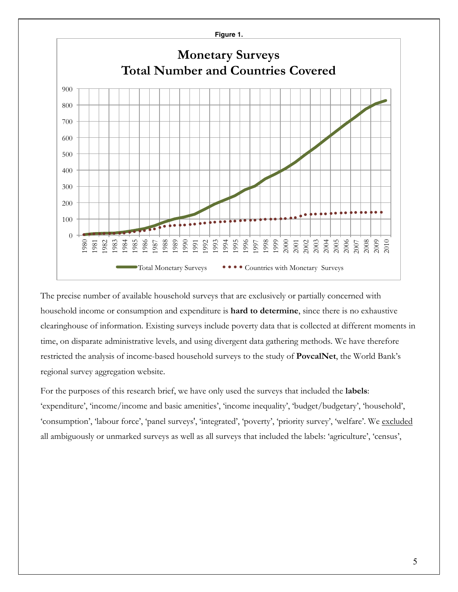

The precise number of available household surveys that are exclusively or partially concerned with household income or consumption and expenditure is **hard to determine**, since there is no exhaustive clearinghouse of information. Existing surveys include poverty data that is collected at different moments in time, on disparate administrative levels, and using divergent data gathering methods. We have therefore restricted the analysis of income-based household surveys to the study of **PovcalNet**, the World Bank's regional survey aggregation website.

For the purposes of this research brief, we have only used the surveys that included the **labels**: 'expenditure', 'income/income and basic amenities', 'income inequality', 'budget/budgetary', 'household', 'consumption', 'labour force', 'panel surveys', 'integrated', 'poverty', 'priority survey', 'welfare'. We excluded all ambiguously or unmarked surveys as well as all surveys that included the labels: 'agriculture', 'census',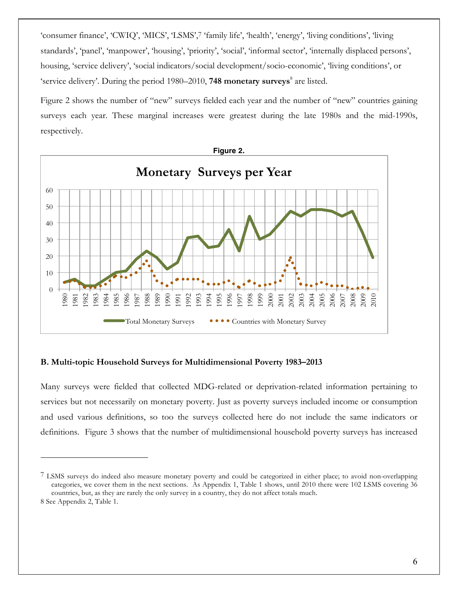'consumer finance', 'CWIQ', 'MICS', 'LSMS',7 'family life', 'health', 'energy', 'living conditions', 'living standards', 'panel', 'manpower', 'housing', 'priority', 'social', 'informal sector', 'internally displaced persons', housing, 'service delivery', 'social indicators/social development/socio-economic', 'living conditions', or 'service delivery'. During the period 1980–2010, **748 monetary surveys**<sup>8</sup> are listed.

Figure 2 shows the number of "new" surveys fielded each year and the number of "new" countries gaining surveys each year. These marginal increases were greatest during the late 1980s and the mid-1990s, respectively.



#### **B. Multi-topic Household Surveys for Multidimensional Poverty 1983–2013**

Many surveys were fielded that collected MDG-related or deprivation-related information pertaining to services but not necessarily on monetary poverty. Just as poverty surveys included income or consumption and used various definitions, so too the surveys collected here do not include the same indicators or definitions. Figure 3 shows that the number of multidimensional household poverty surveys has increased

 LSMS surveys do indeed also measure monetary poverty and could be categorized in either place; to avoid non-overlapping categories, we cover them in the next sections. As Appendix 1, Table 1 shows, until 2010 there were 102 LSMS covering 36 countries, but, as they are rarely the only survey in a country, they do not affect totals much.

See Appendix 2, Table 1.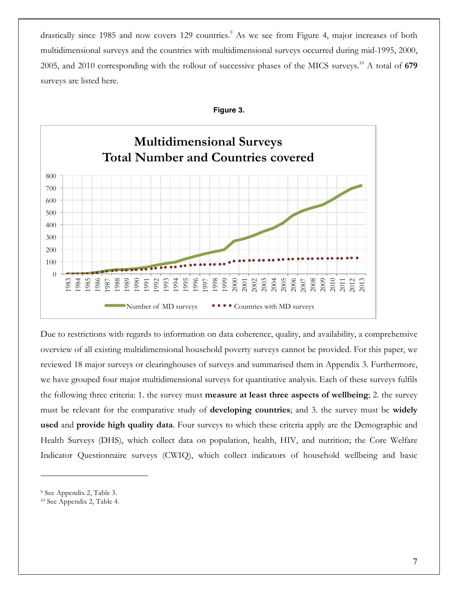drastically since 1985 and now covers 129 countries.<sup>9</sup> As we see from Figure 4, major increases of both multidimensional surveys and the countries with multidimensional surveys occurred during mid-1995, 2000, 2005, and 2010 corresponding with the rollout of successive phases of the MICS surveys.10 A total of **679**  surveys are listed here.





Due to restrictions with regards to information on data coherence, quality, and availability, a comprehensive overview of all existing multidimensional household poverty surveys cannot be provided. For this paper, we reviewed 18 major surveys or clearinghouses of surveys and summarised them in Appendix 3. Furthermore, we have grouped four major multidimensional surveys for quantitative analysis. Each of these surveys fulfils the following three criteria: 1. the survey must **measure at least three aspects of wellbeing**; 2. the survey must be relevant for the comparative study of **developing countries**; and 3. the survey must be **widely used** and **provide high quality data**. Four surveys to which these criteria apply are the Demographic and Health Surveys (DHS), which collect data on population, health, HIV, and nutrition; the Core Welfare Indicator Questionnaire surveys (CWIQ), which collect indicators of household wellbeing and basic

<sup>9</sup> See Appendix 2, Table 3.

<sup>10</sup> See Appendix 2, Table 4.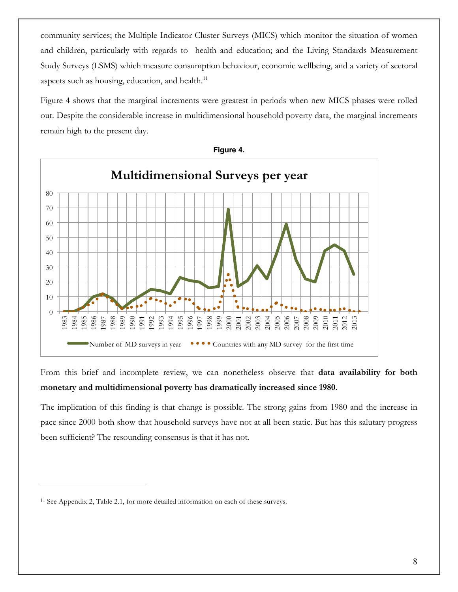community services; the Multiple Indicator Cluster Surveys (MICS) which monitor the situation of women and children, particularly with regards to health and education; and the Living Standards Measurement Study Surveys (LSMS) which measure consumption behaviour, economic wellbeing, and a variety of sectoral aspects such as housing, education, and health.<sup>11</sup>

Figure 4 shows that the marginal increments were greatest in periods when new MICS phases were rolled out. Despite the considerable increase in multidimensional household poverty data, the marginal increments remain high to the present day.



**Figure 4.**

From this brief and incomplete review, we can nonetheless observe that **data availability for both monetary and multidimensional poverty has dramatically increased since 1980.** 

The implication of this finding is that change is possible. The strong gains from 1980 and the increase in pace since 2000 both show that household surveys have not at all been static. But has this salutary progress been sufficient? The resounding consensus is that it has not.

See Appendix 2, Table 2.1, for more detailed information on each of these surveys.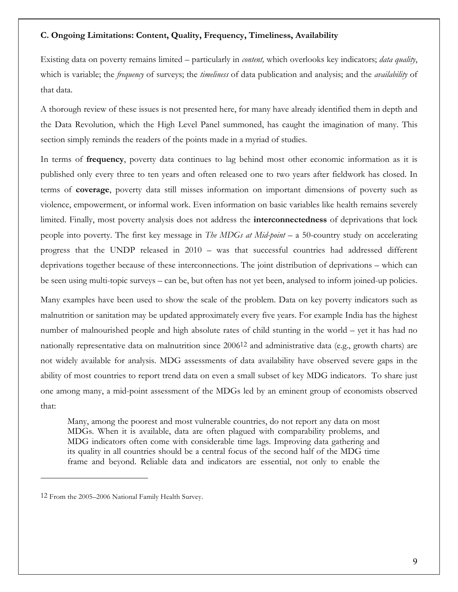#### **C. Ongoing Limitations: Content, Quality, Frequency, Timeliness, Availability**

Existing data on poverty remains limited – particularly in *content,* which overlooks key indicators; *data quality*, which is variable; the *frequency* of surveys; the *timeliness* of data publication and analysis; and the *availability* of that data.

A thorough review of these issues is not presented here, for many have already identified them in depth and the Data Revolution, which the High Level Panel summoned, has caught the imagination of many. This section simply reminds the readers of the points made in a myriad of studies.

In terms of **frequency**, poverty data continues to lag behind most other economic information as it is published only every three to ten years and often released one to two years after fieldwork has closed. In terms of **coverage**, poverty data still misses information on important dimensions of poverty such as violence, empowerment, or informal work. Even information on basic variables like health remains severely limited. Finally, most poverty analysis does not address the **interconnectedness** of deprivations that lock people into poverty. The first key message in *The MDGs at Mid-point* – a 50-country study on accelerating progress that the UNDP released in 2010 – was that successful countries had addressed different deprivations together because of these interconnections. The joint distribution of deprivations – which can be seen using multi-topic surveys – can be, but often has not yet been, analysed to inform joined-up policies.

Many examples have been used to show the scale of the problem. Data on key poverty indicators such as malnutrition or sanitation may be updated approximately every five years. For example India has the highest number of malnourished people and high absolute rates of child stunting in the world – yet it has had no nationally representative data on malnutrition since 200612 and administrative data (e.g., growth charts) are not widely available for analysis. MDG assessments of data availability have observed severe gaps in the ability of most countries to report trend data on even a small subset of key MDG indicators. To share just one among many, a mid-point assessment of the MDGs led by an eminent group of economists observed that:

Many, among the poorest and most vulnerable countries, do not report any data on most MDGs. When it is available, data are often plagued with comparability problems, and MDG indicators often come with considerable time lags. Improving data gathering and its quality in all countries should be a central focus of the second half of the MDG time frame and beyond. Reliable data and indicators are essential, not only to enable the

<sup>12</sup> From the 2005–2006 National Family Health Survey.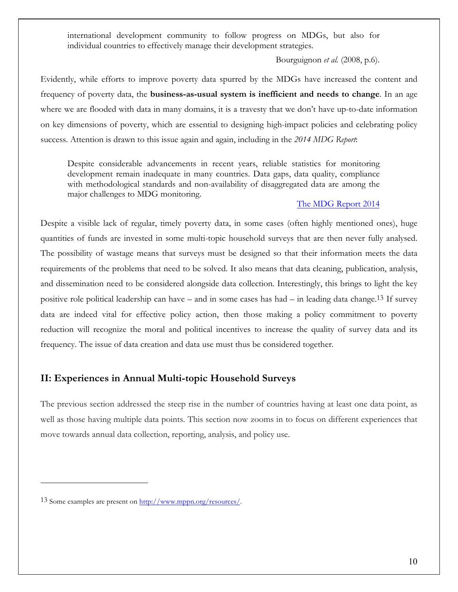international development community to follow progress on MDGs, but also for individual countries to effectively manage their development strategies.

Bourguignon *et al.* (2008, p.6).

Evidently, while efforts to improve poverty data spurred by the MDGs have increased the content and frequency of poverty data, the **business-as-usual system is inefficient and needs to change**. In an age where we are flooded with data in many domains, it is a travesty that we don't have up-to-date information on key dimensions of poverty, which are essential to designing high-impact policies and celebrating policy success. Attention is drawn to this issue again and again, including in the *2014 MDG Report*:

Despite considerable advancements in recent years, reliable statistics for monitoring development remain inadequate in many countries. Data gaps, data quality, compliance with methodological standards and non-availability of disaggregated data are among the major challenges to MDG monitoring.

#### The MDG Report 2014

Despite a visible lack of regular, timely poverty data, in some cases (often highly mentioned ones), huge quantities of funds are invested in some multi-topic household surveys that are then never fully analysed. The possibility of wastage means that surveys must be designed so that their information meets the data requirements of the problems that need to be solved. It also means that data cleaning, publication, analysis, and dissemination need to be considered alongside data collection. Interestingly, this brings to light the key positive role political leadership can have – and in some cases has had – in leading data change.13 If survey data are indeed vital for effective policy action, then those making a policy commitment to poverty reduction will recognize the moral and political incentives to increase the quality of survey data and its frequency. The issue of data creation and data use must thus be considered together.

#### **II: Experiences in Annual Multi-topic Household Surveys**

The previous section addressed the steep rise in the number of countries having at least one data point, as well as those having multiple data points. This section now zooms in to focus on different experiences that move towards annual data collection, reporting, analysis, and policy use.

<sup>13</sup> Some examples are present on http://www.mppn.org/resources/.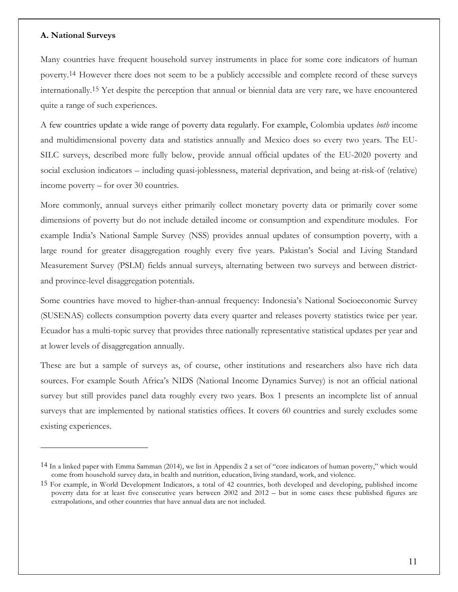#### **A. National Surveys**

1

Many countries have frequent household survey instruments in place for some core indicators of human poverty.14 However there does not seem to be a publicly accessible and complete record of these surveys internationally.15 Yet despite the perception that annual or biennial data are very rare, we have encountered quite a range of such experiences.

A few countries update a wide range of poverty data regularly. For example, Colombia updates *both* income and multidimensional poverty data and statistics annually and Mexico does so every two years. The EU-SILC surveys, described more fully below, provide annual official updates of the EU-2020 poverty and social exclusion indicators – including quasi-joblessness, material deprivation, and being at-risk-of (relative) income poverty – for over 30 countries.

More commonly, annual surveys either primarily collect monetary poverty data or primarily cover some dimensions of poverty but do not include detailed income or consumption and expenditure modules. For example India's National Sample Survey (NSS) provides annual updates of consumption poverty, with a large round for greater disaggregation roughly every five years. Pakistan's Social and Living Standard Measurement Survey (PSLM) fields annual surveys, alternating between two surveys and between districtand province-level disaggregation potentials.

Some countries have moved to higher-than-annual frequency: Indonesia's National Socioeconomic Survey (SUSENAS) collects consumption poverty data every quarter and releases poverty statistics twice per year. Ecuador has a multi-topic survey that provides three nationally representative statistical updates per year and at lower levels of disaggregation annually.

These are but a sample of surveys as, of course, other institutions and researchers also have rich data sources. For example South Africa's NIDS (National Income Dynamics Survey) is not an official national survey but still provides panel data roughly every two years. Box 1 presents an incomplete list of annual surveys that are implemented by national statistics offices. It covers 60 countries and surely excludes some existing experiences.

<sup>14</sup> In a linked paper with Emma Samman (2014), we list in Appendix 2 a set of "core indicators of human poverty," which would come from household survey data, in health and nutrition, education, living standard, work, and violence.

<sup>15</sup> For example, in World Development Indicators, a total of 42 countries, both developed and developing, published income poverty data for at least five consecutive years between 2002 and 2012 – but in some cases these published figures are extrapolations, and other countries that have annual data are not included.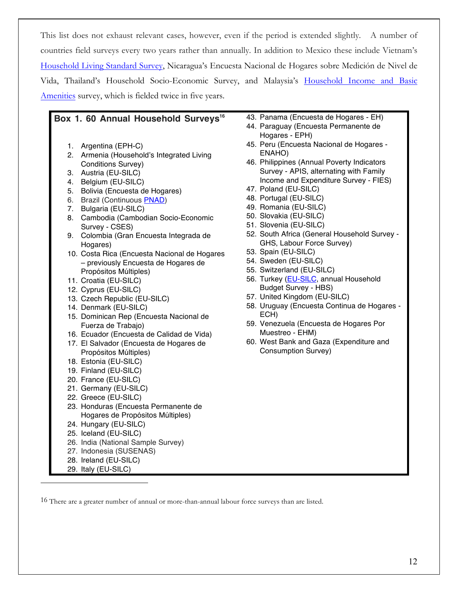This list does not exhaust relevant cases, however, even if the period is extended slightly. A number of countries field surveys every two years rather than annually. In addition to Mexico these include Vietnam's Household Living Standard Survey, Nicaragua's Encuesta Nacional de Hogares sobre Medición de Nivel de Vida, Thailand's Household Socio-Economic Survey, and Malaysia's Household Income and Basic Amenities survey, which is fielded twice in five years.

#### **Box 1. 60 Annual Household Surveys<sup>16</sup>**

- 1. Argentina (EPH-C)
- 2. Armenia (Household's Integrated Living Conditions Survey)
- 3. Austria (EU-SILC)
- 4. Belgium (EU-SILC)
- 5. Bolivia (Encuesta de Hogares)
- 6. Brazil (Continuous PNAD)
- 7. Bulgaria (EU-SILC)
- 8. Cambodia (Cambodian Socio-Economic Survey - CSES)
- 9. Colombia (Gran Encuesta Integrada de Hogares)
- 10. Costa Rica (Encuesta Nacional de Hogares – previously Encuesta de Hogares de Propósitos Múltiples)
- 11. Croatia (EU-SILC)
- 12. Cyprus (EU-SILC)
- 13. Czech Republic (EU-SILC)
- 14. Denmark (EU-SILC)
- 15. Dominican Rep (Encuesta Nacional de Fuerza de Trabajo)
- 16. Ecuador (Encuesta de Calidad de Vida)
- 17. El Salvador (Encuesta de Hogares de Propósitos Múltiples)
- 18. Estonia (EU-SILC)
- 19. Finland (EU-SILC)
- 20. France (EU-SILC)
- 21. Germany (EU-SILC)
- 22. Greece (EU-SILC)
- 23. Honduras (Encuesta Permanente de Hogares de Propósitos Múltiples)
- 24. Hungary (EU-SILC)
- 25. Iceland (EU-SILC)
- 26. India (National Sample Survey)
- 27. Indonesia (SUSENAS)
- 28. Ireland (EU-SILC)
- 29. Italy (EU-SILC)

<u>.</u>

- 43. Panama (Encuesta de Hogares EH)
- 44. Paraguay (Encuesta Permanente de Hogares - EPH)
- 45. Peru (Encuesta Nacional de Hogares ENAHO)
- 46. Philippines (Annual Poverty Indicators Survey - APIS, alternating with Family Income and Expenditure Survey - FIES)
- 47. Poland (EU-SILC)
- 48. Portugal (EU-SILC)
- 49. Romania (EU-SILC)
- 50. Slovakia (EU-SILC)
- 51. Slovenia (EU-SILC)
- 52. South Africa (General Household Survey GHS, Labour Force Survey)
- 53. Spain (EU-SILC)
- 54. Sweden (EU-SILC)
- 55. Switzerland (EU-SILC)
- 56. Turkey (EU-SILC, annual Household Budget Survey - HBS)
- 57. United Kingdom (EU-SILC)
- 58. Uruguay (Encuesta Continua de Hogares ECH)
- 59. Venezuela (Encuesta de Hogares Por Muestreo - EHM)
- 60. West Bank and Gaza (Expenditure and Consumption Survey)

16 There are a greater number of annual or more-than-annual labour force surveys than are listed.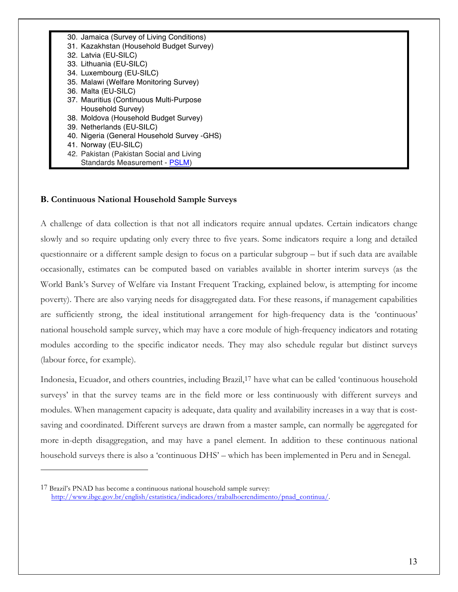

#### **Β. Continuous National Household Sample Surveys**

A challenge of data collection is that not all indicators require annual updates. Certain indicators change slowly and so require updating only every three to five years. Some indicators require a long and detailed questionnaire or a different sample design to focus on a particular subgroup – but if such data are available occasionally, estimates can be computed based on variables available in shorter interim surveys (as the World Bank's Survey of Welfare via Instant Frequent Tracking, explained below, is attempting for income poverty). There are also varying needs for disaggregated data. For these reasons, if management capabilities are sufficiently strong, the ideal institutional arrangement for high-frequency data is the 'continuous' national household sample survey, which may have a core module of high-frequency indicators and rotating modules according to the specific indicator needs. They may also schedule regular but distinct surveys (labour force, for example).

Indonesia, Ecuador, and others countries, including Brazil,17 have what can be called 'continuous household surveys' in that the survey teams are in the field more or less continuously with different surveys and modules. When management capacity is adequate, data quality and availability increases in a way that is costsaving and coordinated. Different surveys are drawn from a master sample, can normally be aggregated for more in-depth disaggregation, and may have a panel element. In addition to these continuous national household surveys there is also a 'continuous DHS' – which has been implemented in Peru and in Senegal.

<sup>17</sup> Brazil's PNAD has become a continuous national household sample survey: http://www.ibge.gov.br/english/estatistica/indicadores/trabalhoerendimento/pnad\_continua/.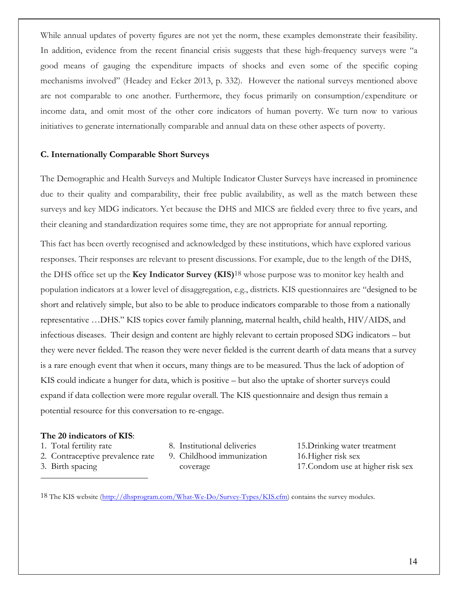While annual updates of poverty figures are not yet the norm, these examples demonstrate their feasibility. In addition, evidence from the recent financial crisis suggests that these high-frequency surveys were "a good means of gauging the expenditure impacts of shocks and even some of the specific coping mechanisms involved" (Headey and Ecker 2013, p. 332). However the national surveys mentioned above are not comparable to one another. Furthermore, they focus primarily on consumption/expenditure or income data, and omit most of the other core indicators of human poverty. We turn now to various initiatives to generate internationally comparable and annual data on these other aspects of poverty.

#### **C. Internationally Comparable Short Surveys**

The Demographic and Health Surveys and Multiple Indicator Cluster Surveys have increased in prominence due to their quality and comparability, their free public availability, as well as the match between these surveys and key MDG indicators. Yet because the DHS and MICS are fielded every three to five years, and their cleaning and standardization requires some time, they are not appropriate for annual reporting.

This fact has been overtly recognised and acknowledged by these institutions, which have explored various responses. Their responses are relevant to present discussions. For example, due to the length of the DHS, the DHS office set up the **Key Indicator Survey (KIS)**18 whose purpose was to monitor key health and population indicators at a lower level of disaggregation, e.g., districts. KIS questionnaires are "designed to be short and relatively simple, but also to be able to produce indicators comparable to those from a nationally representative …DHS." KIS topics cover family planning, maternal health, child health, HIV/AIDS, and infectious diseases. Their design and content are highly relevant to certain proposed SDG indicators – but they were never fielded. The reason they were never fielded is the current dearth of data means that a survey is a rare enough event that when it occurs, many things are to be measured. Thus the lack of adoption of KIS could indicate a hunger for data, which is positive – but also the uptake of shorter surveys could expand if data collection were more regular overall. The KIS questionnaire and design thus remain a potential resource for this conversation to re-engage.

#### **The 20 indicators of KIS**:

- 1. Total fertility rate
- 2. Contraceptive prevalence rate
- 3. Birth spacing

<u>.</u>

- 8. Institutional deliveries
- 9. Childhood immunization coverage

15.Drinking water treatment 16.Higher risk sex 17.Condom use at higher risk sex

18 The KIS website (http://dhsprogram.com/What-We-Do/Survey-Types/KIS.cfm) contains the survey modules.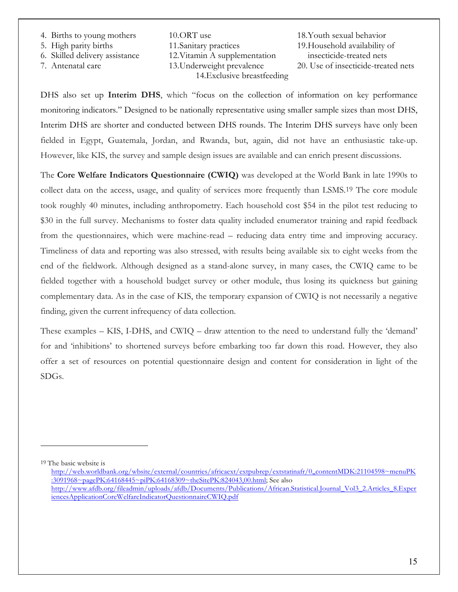- 4. Births to young mothers
- 5. High parity births
- 6. Skilled delivery assistance
- 7. Antenatal care

10.ORT use 11.Sanitary practices 12.Vitamin A supplementation 13.Underweight prevalence 14.Exclusive breastfeeding

18.Youth sexual behavior 19.Household availability of insecticide-treated nets 20. Use of insecticide-treated nets

DHS also set up **Interim DHS**, which "focus on the collection of information on key performance monitoring indicators." Designed to be nationally representative using smaller sample sizes than most DHS, Interim DHS are shorter and conducted between DHS rounds. The Interim DHS surveys have only been fielded in Egypt, Guatemala, Jordan, and Rwanda, but, again, did not have an enthusiastic take-up. However, like KIS, the survey and sample design issues are available and can enrich present discussions.

The **Core Welfare Indicators Questionnaire (CWIQ)** was developed at the World Bank in late 1990s to collect data on the access, usage, and quality of services more frequently than LSMS.19 The core module took roughly 40 minutes, including anthropometry. Each household cost \$54 in the pilot test reducing to \$30 in the full survey. Mechanisms to foster data quality included enumerator training and rapid feedback from the questionnaires, which were machine-read – reducing data entry time and improving accuracy. Timeliness of data and reporting was also stressed, with results being available six to eight weeks from the end of the fieldwork. Although designed as a stand-alone survey, in many cases, the CWIQ came to be fielded together with a household budget survey or other module, thus losing its quickness but gaining complementary data. As in the case of KIS, the temporary expansion of CWIQ is not necessarily a negative finding, given the current infrequency of data collection.

These examples – KIS, I-DHS, and CWIQ – draw attention to the need to understand fully the 'demand' for and 'inhibitions' to shortened surveys before embarking too far down this road. However, they also offer a set of resources on potential questionnaire design and content for consideration in light of the SDGs.

19 The basic website is

http://web.worldbank.org/wbsite/external/countries/africaext/extpubrep/extstatinafr/0,,contentMDK:21104598~menuPK :3091968~pagePK:64168445~piPK:64168309~theSitePK:824043,00.html; See also http://www.afdb.org/fileadmin/uploads/afdb/Documents/Publications/African.Statistical.Journal\_Vol3\_2.Articles\_8.Exper iencesApplicationCoreWelfareIndicatorQuestionnaireCWIQ.pdf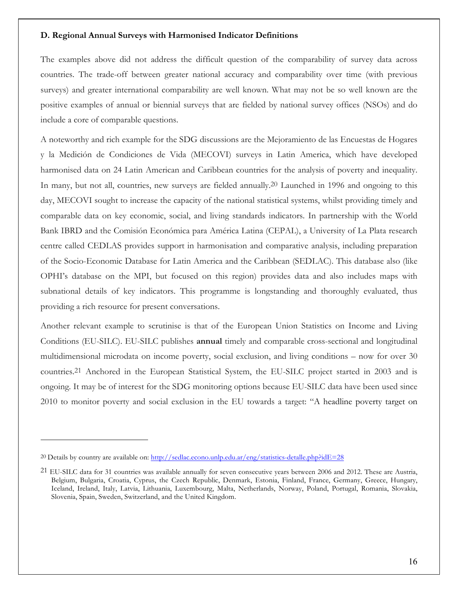#### **D. Regional Annual Surveys with Harmonised Indicator Definitions**

The examples above did not address the difficult question of the comparability of survey data across countries. The trade-off between greater national accuracy and comparability over time (with previous surveys) and greater international comparability are well known. What may not be so well known are the positive examples of annual or biennial surveys that are fielded by national survey offices (NSOs) and do include a core of comparable questions.

A noteworthy and rich example for the SDG discussions are the Mejoramiento de las Encuestas de Hogares y la Medición de Condiciones de Vida (MECOVI) surveys in Latin America, which have developed harmonised data on 24 Latin American and Caribbean countries for the analysis of poverty and inequality. In many, but not all, countries, new surveys are fielded annually.<sup>20</sup> Launched in 1996 and ongoing to this day, MECOVI sought to increase the capacity of the national statistical systems, whilst providing timely and comparable data on key economic, social, and living standards indicators. In partnership with the World Bank IBRD and the Comisión Económica para América Latina (CEPAL), a University of La Plata research centre called CEDLAS provides support in harmonisation and comparative analysis, including preparation of the Socio-Economic Database for Latin America and the Caribbean (SEDLAC). This database also (like OPHI's database on the MPI, but focused on this region) provides data and also includes maps with subnational details of key indicators. This programme is longstanding and thoroughly evaluated, thus providing a rich resource for present conversations.

Another relevant example to scrutinise is that of the European Union Statistics on Income and Living Conditions (EU-SILC). EU-SILC publishes **annual** timely and comparable cross-sectional and longitudinal multidimensional microdata on income poverty, social exclusion, and living conditions – now for over 30 countries.21 Anchored in the European Statistical System, the EU-SILC project started in 2003 and is ongoing. It may be of interest for the SDG monitoring options because EU-SILC data have been used since 2010 to monitor poverty and social exclusion in the EU towards a target: "A headline poverty target on

<sup>20</sup> Details by country are available on: http://sedlac.econo.unlp.edu.ar/eng/statistics-detalle.php?idE=28

<sup>21</sup> EU-SILC data for 31 countries was available annually for seven consecutive years between 2006 and 2012. These are Austria, Belgium, Bulgaria, Croatia, Cyprus, the Czech Republic, Denmark, Estonia, Finland, France, Germany, Greece, Hungary, Iceland, Ireland, Italy, Latvia, Lithuania, Luxembourg, Malta, Netherlands, Norway, Poland, Portugal, Romania, Slovakia, Slovenia, Spain, Sweden, Switzerland, and the United Kingdom.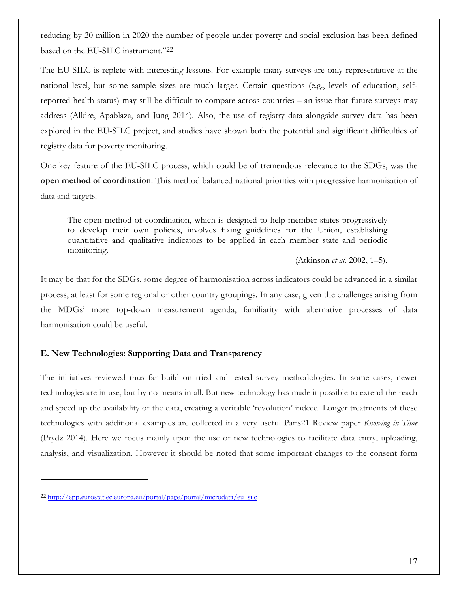reducing by 20 million in 2020 the number of people under poverty and social exclusion has been defined based on the EU-SILC instrument."22

The EU-SILC is replete with interesting lessons. For example many surveys are only representative at the national level, but some sample sizes are much larger. Certain questions (e.g., levels of education, selfreported health status) may still be difficult to compare across countries – an issue that future surveys may address (Alkire, Apablaza, and Jung 2014). Also, the use of registry data alongside survey data has been explored in the EU-SILC project, and studies have shown both the potential and significant difficulties of registry data for poverty monitoring.

One key feature of the EU-SILC process, which could be of tremendous relevance to the SDGs, was the **open method of coordination**. This method balanced national priorities with progressive harmonisation of data and targets.

The open method of coordination, which is designed to help member states progressively to develop their own policies, involves fixing guidelines for the Union, establishing quantitative and qualitative indicators to be applied in each member state and periodic monitoring.

(Atkinson *et al.* 2002, 1–5).

It may be that for the SDGs, some degree of harmonisation across indicators could be advanced in a similar process, at least for some regional or other country groupings. In any case, given the challenges arising from the MDGs' more top-down measurement agenda, familiarity with alternative processes of data harmonisation could be useful.

#### **E. New Technologies: Supporting Data and Transparency**

The initiatives reviewed thus far build on tried and tested survey methodologies. In some cases, newer technologies are in use, but by no means in all. But new technology has made it possible to extend the reach and speed up the availability of the data, creating a veritable 'revolution' indeed. Longer treatments of these technologies with additional examples are collected in a very useful Paris21 Review paper *Knowing in Time*  (Prydz 2014). Here we focus mainly upon the use of new technologies to facilitate data entry, uploading, analysis, and visualization. However it should be noted that some important changes to the consent form

<sup>22</sup> http://epp.eurostat.ec.europa.eu/portal/page/portal/microdata/eu\_silc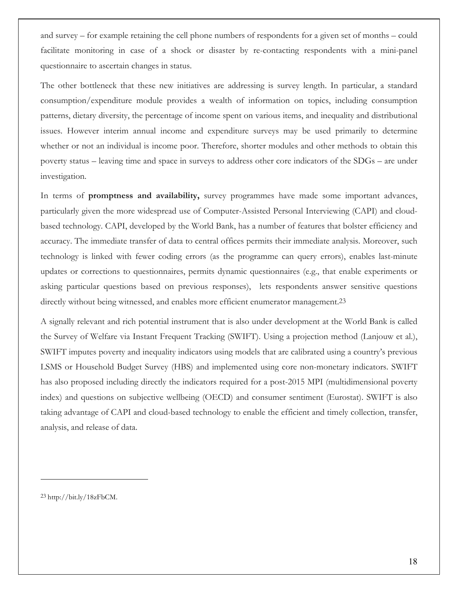and survey – for example retaining the cell phone numbers of respondents for a given set of months – could facilitate monitoring in case of a shock or disaster by re-contacting respondents with a mini-panel questionnaire to ascertain changes in status.

The other bottleneck that these new initiatives are addressing is survey length. In particular, a standard consumption/expenditure module provides a wealth of information on topics, including consumption patterns, dietary diversity, the percentage of income spent on various items, and inequality and distributional issues. However interim annual income and expenditure surveys may be used primarily to determine whether or not an individual is income poor. Therefore, shorter modules and other methods to obtain this poverty status – leaving time and space in surveys to address other core indicators of the SDGs – are under investigation.

In terms of **promptness and availability,** survey programmes have made some important advances, particularly given the more widespread use of Computer-Assisted Personal Interviewing (CAPI) and cloudbased technology. CAPI, developed by the World Bank, has a number of features that bolster efficiency and accuracy. The immediate transfer of data to central offices permits their immediate analysis. Moreover, such technology is linked with fewer coding errors (as the programme can query errors), enables last-minute updates or corrections to questionnaires, permits dynamic questionnaires (e.g., that enable experiments or asking particular questions based on previous responses), lets respondents answer sensitive questions directly without being witnessed, and enables more efficient enumerator management.<sup>23</sup>

A signally relevant and rich potential instrument that is also under development at the World Bank is called the Survey of Welfare via Instant Frequent Tracking (SWIFT). Using a projection method (Lanjouw et al.), SWIFT imputes poverty and inequality indicators using models that are calibrated using a country's previous LSMS or Household Budget Survey (HBS) and implemented using core non-monetary indicators. SWIFT has also proposed including directly the indicators required for a post-2015 MPI (multidimensional poverty index) and questions on subjective wellbeing (OECD) and consumer sentiment (Eurostat). SWIFT is also taking advantage of CAPI and cloud-based technology to enable the efficient and timely collection, transfer, analysis, and release of data.

23 http://bit.ly/18zFbCM.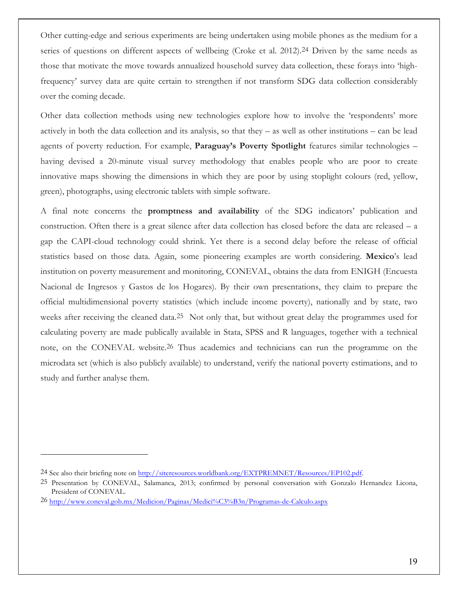Other cutting-edge and serious experiments are being undertaken using mobile phones as the medium for a series of questions on different aspects of wellbeing (Croke et al. 2012).<sup>24</sup> Driven by the same needs as those that motivate the move towards annualized household survey data collection, these forays into 'highfrequency' survey data are quite certain to strengthen if not transform SDG data collection considerably over the coming decade.

Other data collection methods using new technologies explore how to involve the 'respondents' more actively in both the data collection and its analysis, so that they – as well as other institutions – can be lead agents of poverty reduction. For example, **Paraguay's Poverty Spotlight** features similar technologies – having devised a 20-minute visual survey methodology that enables people who are poor to create innovative maps showing the dimensions in which they are poor by using stoplight colours (red, yellow, green), photographs, using electronic tablets with simple software.

A final note concerns the **promptness and availability** of the SDG indicators' publication and construction. Often there is a great silence after data collection has closed before the data are released – a gap the CAPI-cloud technology could shrink. Yet there is a second delay before the release of official statistics based on those data. Again, some pioneering examples are worth considering. **Mexico**'s lead institution on poverty measurement and monitoring, CONEVAL, obtains the data from ENIGH (Encuesta Nacional de Ingresos y Gastos de los Hogares). By their own presentations, they claim to prepare the official multidimensional poverty statistics (which include income poverty), nationally and by state, two weeks after receiving the cleaned data.25 Not only that, but without great delay the programmes used for calculating poverty are made publically available in Stata, SPSS and R languages, together with a technical note, on the CONEVAL website.26 Thus academics and technicians can run the programme on the microdata set (which is also publicly available) to understand, verify the national poverty estimations, and to study and further analyse them.

<sup>24</sup> See also their briefing note on http://siteresources.worldbank.org/EXTPREMNET/Resources/EP102.pdf.

<sup>25</sup> Presentation by CONEVAL, Salamanca, 2013; confirmed by personal conversation with Gonzalo Hernandez Licona, President of CONEVAL.

<sup>26</sup> http://www.coneval.gob.mx/Medicion/Paginas/Medici%C3%B3n/Programas-de-Calculo.aspx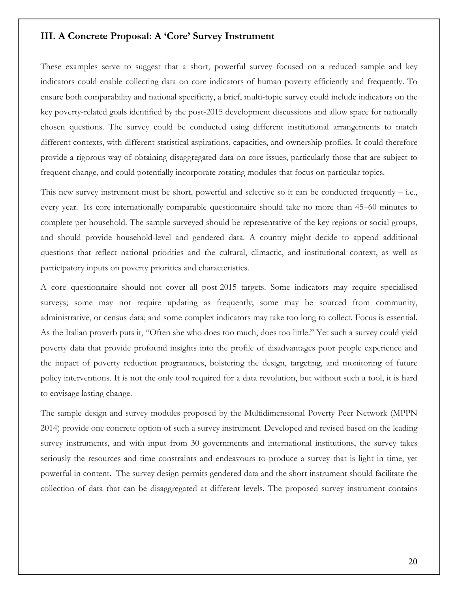#### **III. A Concrete Proposal: A 'Core' Survey Instrument**

These examples serve to suggest that a short, powerful survey focused on a reduced sample and key indicators could enable collecting data on core indicators of human poverty efficiently and frequently. To ensure both comparability and national specificity, a brief, multi-topic survey could include indicators on the key poverty-related goals identified by the post-2015 development discussions and allow space for nationally chosen questions. The survey could be conducted using different institutional arrangements to match different contexts, with different statistical aspirations, capacities, and ownership profiles. It could therefore provide a rigorous way of obtaining disaggregated data on core issues, particularly those that are subject to frequent change, and could potentially incorporate rotating modules that focus on particular topics.

This new survey instrument must be short, powerful and selective so it can be conducted frequently  $-$  i.e., every year. Its core internationally comparable questionnaire should take no more than 45–60 minutes to complete per household. The sample surveyed should be representative of the key regions or social groups, and should provide household-level and gendered data. A country might decide to append additional questions that reflect national priorities and the cultural, climactic, and institutional context, as well as participatory inputs on poverty priorities and characteristics.

A core questionnaire should not cover all post-2015 targets. Some indicators may require specialised surveys; some may not require updating as frequently; some may be sourced from community, administrative, or census data; and some complex indicators may take too long to collect. Focus is essential. As the Italian proverb puts it, "Often she who does too much, does too little." Yet such a survey could yield poverty data that provide profound insights into the profile of disadvantages poor people experience and the impact of poverty reduction programmes, bolstering the design, targeting, and monitoring of future policy interventions. It is not the only tool required for a data revolution, but without such a tool, it is hard to envisage lasting change.

The sample design and survey modules proposed by the Multidimensional Poverty Peer Network (MPPN 2014) provide one concrete option of such a survey instrument. Developed and revised based on the leading survey instruments, and with input from 30 governments and international institutions, the survey takes seriously the resources and time constraints and endeavours to produce a survey that is light in time, yet powerful in content. The survey design permits gendered data and the short instrument should facilitate the collection of data that can be disaggregated at different levels. The proposed survey instrument contains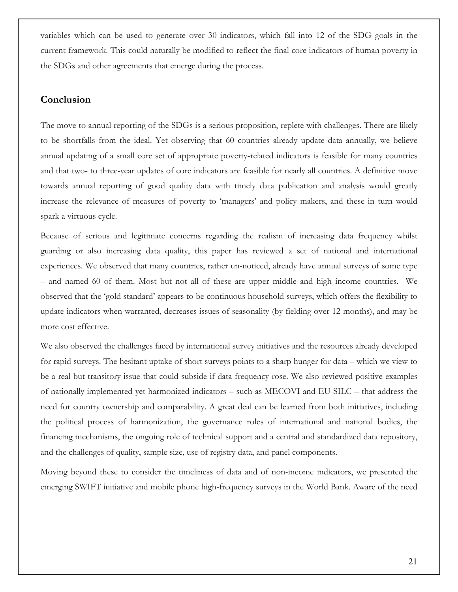variables which can be used to generate over 30 indicators, which fall into 12 of the SDG goals in the current framework. This could naturally be modified to reflect the final core indicators of human poverty in the SDGs and other agreements that emerge during the process.

#### **Conclusion**

The move to annual reporting of the SDGs is a serious proposition, replete with challenges. There are likely to be shortfalls from the ideal. Yet observing that 60 countries already update data annually, we believe annual updating of a small core set of appropriate poverty-related indicators is feasible for many countries and that two- to three-year updates of core indicators are feasible for nearly all countries. A definitive move towards annual reporting of good quality data with timely data publication and analysis would greatly increase the relevance of measures of poverty to 'managers' and policy makers, and these in turn would spark a virtuous cycle.

Because of serious and legitimate concerns regarding the realism of increasing data frequency whilst guarding or also increasing data quality, this paper has reviewed a set of national and international experiences. We observed that many countries, rather un-noticed, already have annual surveys of some type – and named 60 of them. Most but not all of these are upper middle and high income countries. We observed that the 'gold standard' appears to be continuous household surveys, which offers the flexibility to update indicators when warranted, decreases issues of seasonality (by fielding over 12 months), and may be more cost effective.

We also observed the challenges faced by international survey initiatives and the resources already developed for rapid surveys. The hesitant uptake of short surveys points to a sharp hunger for data – which we view to be a real but transitory issue that could subside if data frequency rose. We also reviewed positive examples of nationally implemented yet harmonized indicators – such as MECOVI and EU-SILC – that address the need for country ownership and comparability. A great deal can be learned from both initiatives, including the political process of harmonization, the governance roles of international and national bodies, the financing mechanisms, the ongoing role of technical support and a central and standardized data repository, and the challenges of quality, sample size, use of registry data, and panel components.

Moving beyond these to consider the timeliness of data and of non-income indicators, we presented the emerging SWIFT initiative and mobile phone high-frequency surveys in the World Bank. Aware of the need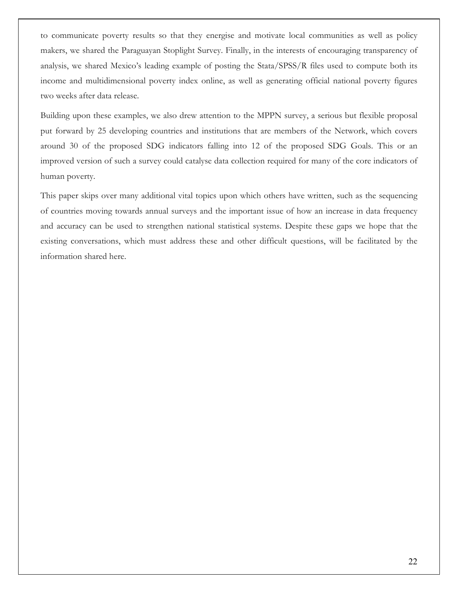to communicate poverty results so that they energise and motivate local communities as well as policy makers, we shared the Paraguayan Stoplight Survey. Finally, in the interests of encouraging transparency of analysis, we shared Mexico's leading example of posting the Stata/SPSS/R files used to compute both its income and multidimensional poverty index online, as well as generating official national poverty figures two weeks after data release.

Building upon these examples, we also drew attention to the MPPN survey, a serious but flexible proposal put forward by 25 developing countries and institutions that are members of the Network, which covers around 30 of the proposed SDG indicators falling into 12 of the proposed SDG Goals. This or an improved version of such a survey could catalyse data collection required for many of the core indicators of human poverty.

This paper skips over many additional vital topics upon which others have written, such as the sequencing of countries moving towards annual surveys and the important issue of how an increase in data frequency and accuracy can be used to strengthen national statistical systems. Despite these gaps we hope that the existing conversations, which must address these and other difficult questions, will be facilitated by the information shared here.